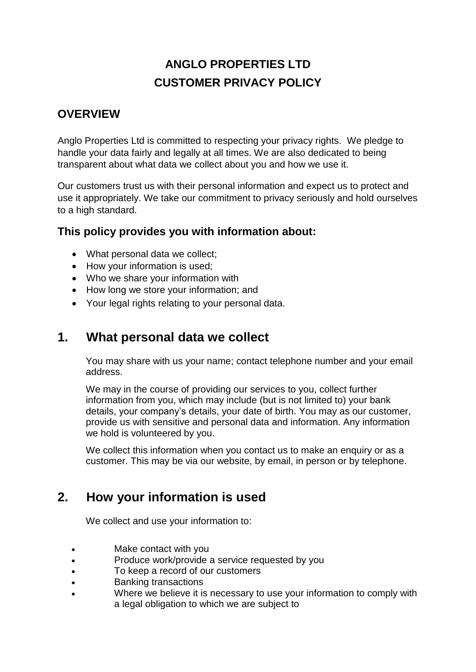# **ANGLO PROPERTIES LTD CUSTOMER PRIVACY POLICY**

#### **OVERVIEW**

Anglo Properties Ltd is committed to respecting your privacy rights. We pledge to handle your data fairly and legally at all times. We are also dedicated to being transparent about what data we collect about you and how we use it.

Our customers trust us with their personal information and expect us to protect and use it appropriately. We take our commitment to privacy seriously and hold ourselves to a high standard.

#### **This policy provides you with information about:**

- What personal data we collect:
- How your information is used;
- Who we share your information with
- How long we store your information; and
- Your legal rights relating to your personal data.

### **1. What personal data we collect**

You may share with us your name; contact telephone number and your email address.

We may in the course of providing our services to you, collect further information from you, which may include (but is not limited to) your bank details, your company's details, your date of birth. You may as our customer, provide us with sensitive and personal data and information. Any information we hold is volunteered by you.

We collect this information when you contact us to make an enquiry or as a customer. This may be via our website, by email, in person or by telephone.

# **2. How your information is used**

We collect and use your information to:

- Make contact with you
- Produce work/provide a service requested by you
- To keep a record of our customers
- Banking transactions
- Where we believe it is necessary to use your information to comply with a legal obligation to which we are subject to